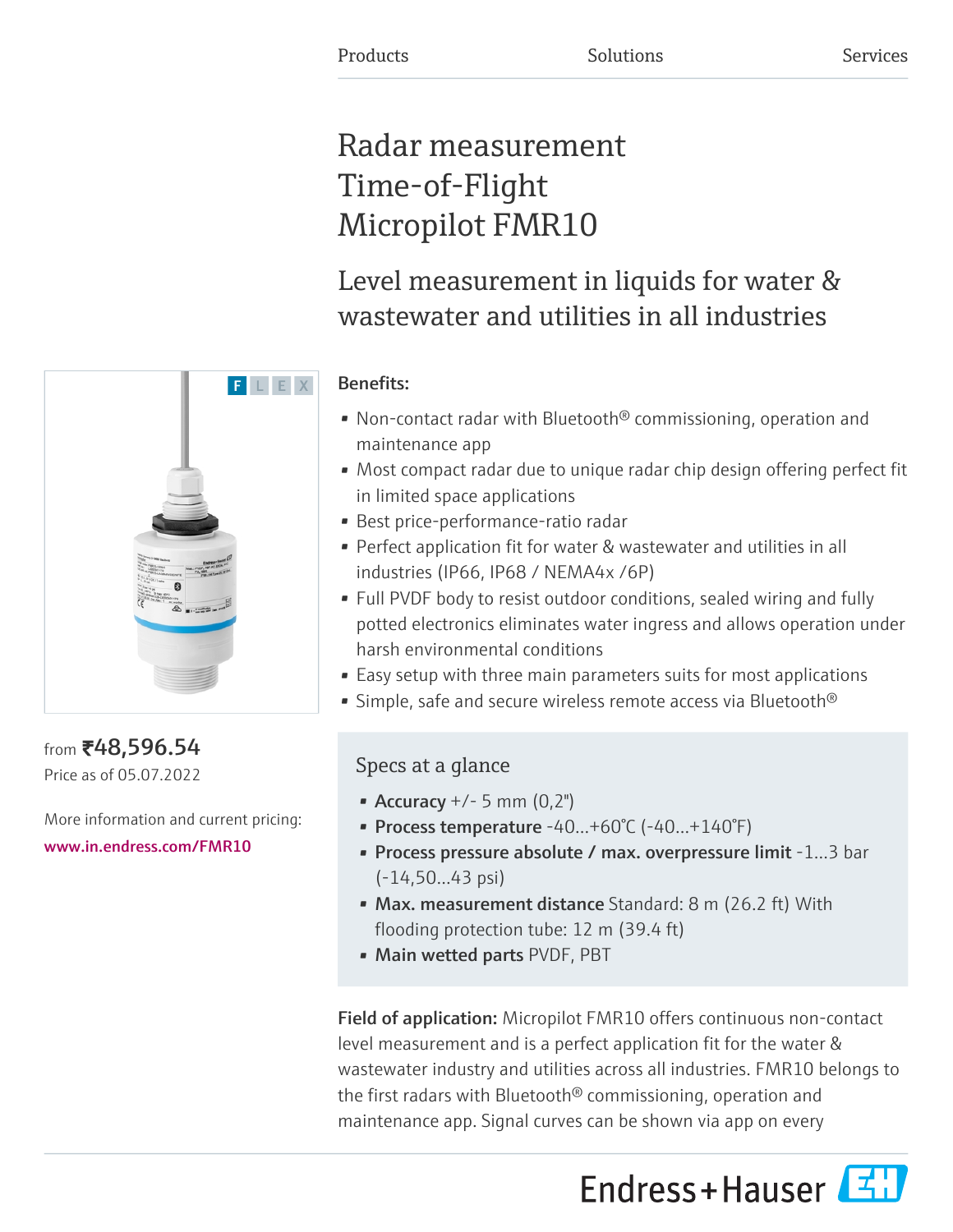# Radar measurement Time-of-Flight Micropilot FMR10

Level measurement in liquids for water & wastewater and utilities in all industries

# Benefits:

- Non-contact radar with Bluetooth<sup>®</sup> commissioning, operation and maintenance app
- Most compact radar due to unique radar chip design offering perfect fit in limited space applications
- Best price-performance-ratio radar
- Perfect application fit for water & wastewater and utilities in all industries (IP66, IP68 / NEMA4x /6P)
- Full PVDF body to resist outdoor conditions, sealed wiring and fully potted electronics eliminates water ingress and allows operation under harsh environmental conditions
- Easy setup with three main parameters suits for most applications
- Simple, safe and secure wireless remote access via Bluetooth<sup>®</sup>

# Specs at a glance

- Accuracy  $+/- 5$  mm  $(0,2")$
- Process temperature  $-40...+60°C$  ( $-40...+140°F$ )
- Process pressure absolute / max. overpressure limit -1…3 bar (-14,50…43 psi)
- Max. measurement distance Standard: 8 m (26.2 ft) With flooding protection tube: 12 m (39.4 ft)
- Main wetted parts PVDF, PBT

Field of application: Micropilot FMR10 offers continuous non-contact level measurement and is a perfect application fit for the water & wastewater industry and utilities across all industries. FMR10 belongs to the first radars with Bluetooth® commissioning, operation and maintenance app. Signal curves can be shown via app on every





from ₹48,596.54 Price as of 05.07.2022

More information and current pricing: [www.in.endress.com/FMR10](https://www.in.endress.com/FMR10)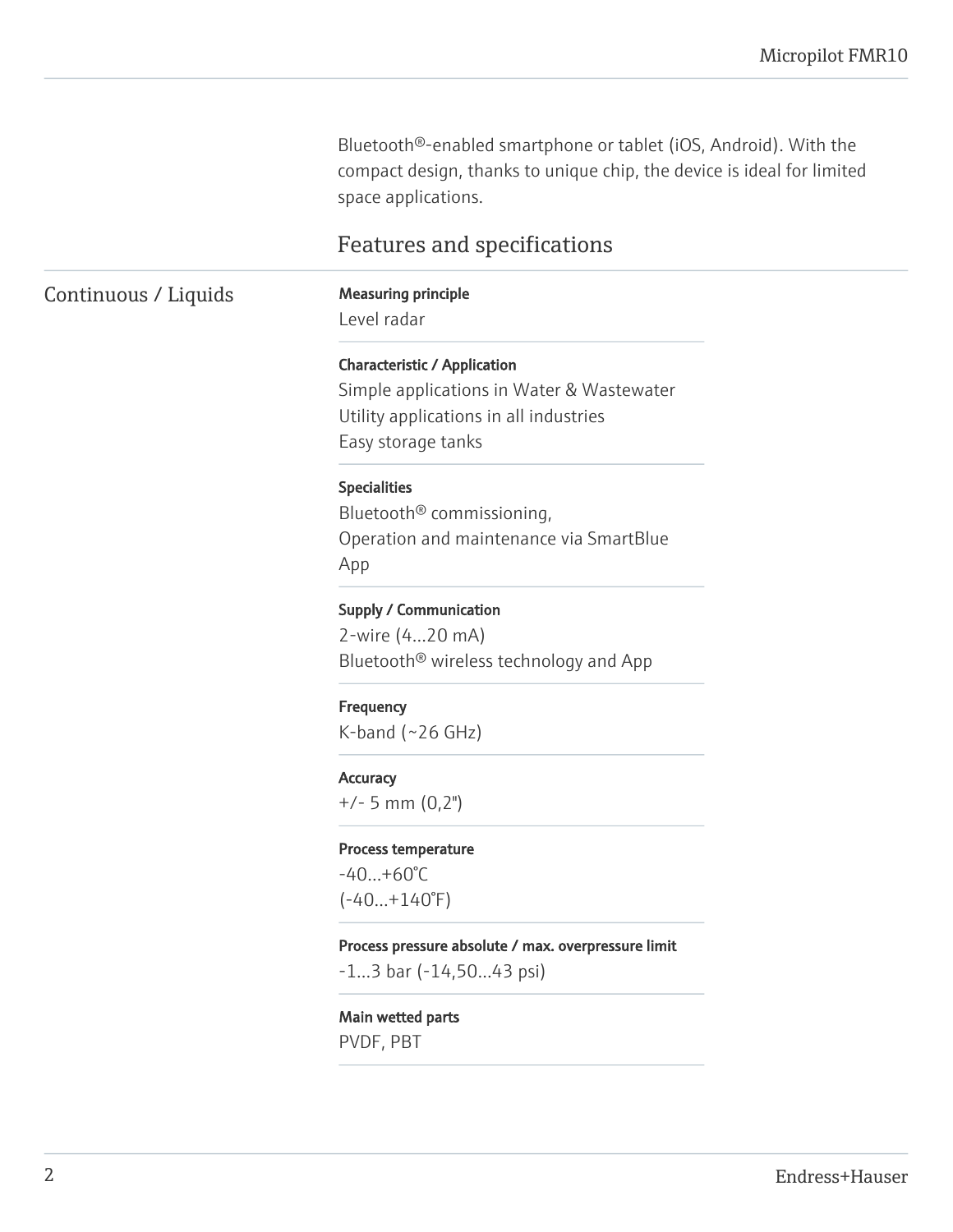Bluetooth®-enabled smartphone or tablet (iOS, Android). With the compact design, thanks to unique chip, the device is ideal for limited space applications.

# Features and specifications

# Continuous / Liquids Measuring principle

Level radar

#### Characteristic / Application

Simple applications in Water & Wastewater Utility applications in all industries Easy storage tanks

#### Specialities

Bluetooth® commissioning, Operation and maintenance via SmartBlue App

#### Supply / Communication

2-wire (4…20 mA) Bluetooth® wireless technology and App

#### **Frequency**

 $K$ -band (~26 GHz)

#### **Accuracy**

+/- 5 mm (0,2")

#### Process temperature

-40…+60°C  $(-40...+140°F)$ 

#### Process pressure absolute / max. overpressure limit

-1…3 bar (-14,50…43 psi)

#### Main wetted parts

PVDF, PBT